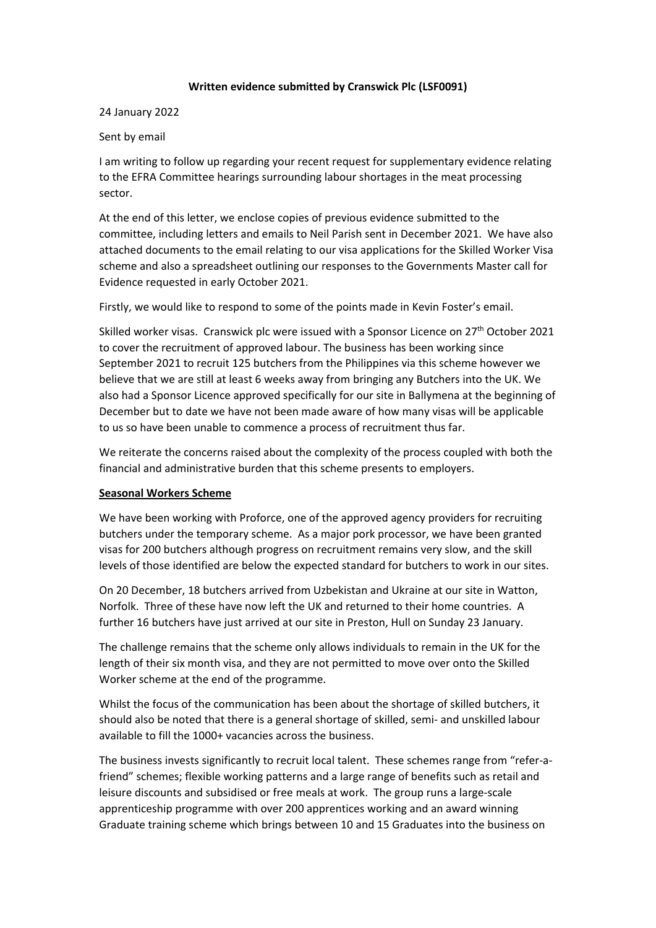### **Written evidence submitted by Cranswick Plc (LSF0091)**

#### 24 January 2022

#### Sent by email

I am writing to follow up regarding your recent request for supplementary evidence relating to the EFRA Committee hearings surrounding labour shortages in the meat processing sector.

At the end of this letter, we enclose copies of previous evidence submitted to the committee, including letters and emails to Neil Parish sent in December 2021. We have also attached documents to the email relating to our visa applications for the Skilled Worker Visa scheme and also a spreadsheet outlining our responses to the Governments Master call for Evidence requested in early October 2021.

Firstly, we would like to respond to some of the points made in Kevin Foster's email.

Skilled worker visas. Cranswick plc were issued with a Sponsor Licence on 27<sup>th</sup> October 2021 to cover the recruitment of approved labour. The business has been working since September 2021 to recruit 125 butchers from the Philippines via this scheme however we believe that we are still at least 6 weeks away from bringing any Butchers into the UK. We also had a Sponsor Licence approved specifically for our site in Ballymena at the beginning of December but to date we have not been made aware of how many visas will be applicable to us so have been unable to commence a process of recruitment thus far.

We reiterate the concerns raised about the complexity of the process coupled with both the financial and administrative burden that this scheme presents to employers.

#### **Seasonal Workers Scheme**

We have been working with Proforce, one of the approved agency providers for recruiting butchers under the temporary scheme. As a major pork processor, we have been granted visas for 200 butchers although progress on recruitment remains very slow, and the skill levels of those identified are below the expected standard for butchers to work in our sites.

On 20 December, 18 butchers arrived from Uzbekistan and Ukraine at our site in Watton, Norfolk. Three of these have now left the UK and returned to their home countries. A further 16 butchers have just arrived at our site in Preston, Hull on Sunday 23 January.

The challenge remains that the scheme only allows individuals to remain in the UK for the length of their six month visa, and they are not permitted to move over onto the Skilled Worker scheme at the end of the programme.

Whilst the focus of the communication has been about the shortage of skilled butchers, it should also be noted that there is a general shortage of skilled, semi- and unskilled labour available to fill the 1000+ vacancies across the business.

The business invests significantly to recruit local talent. These schemes range from "refer-afriend" schemes; flexible working patterns and a large range of benefits such as retail and leisure discounts and subsidised or free meals at work. The group runs a large-scale apprenticeship programme with over 200 apprentices working and an award winning Graduate training scheme which brings between 10 and 15 Graduates into the business on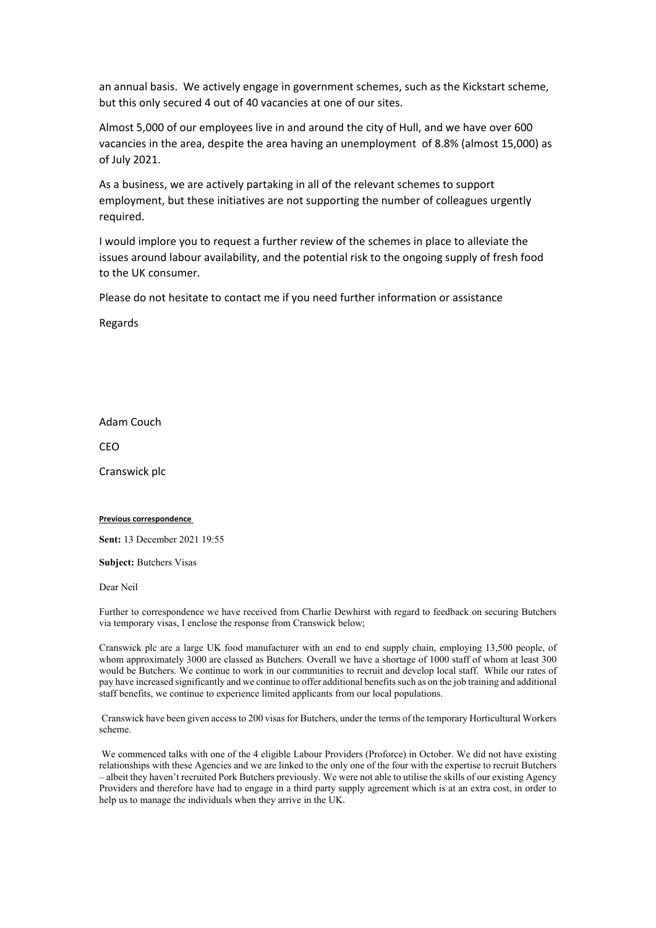an annual basis. We actively engage in government schemes, such as the Kickstart scheme, but this only secured 4 out of 40 vacancies at one of our sites.

Almost 5,000 of our employees live in and around the city of Hull, and we have over 600 vacancies in the area, despite the area having an unemployment of 8.8% (almost 15,000) as of July 2021.

As a business, we are actively partaking in all of the relevant schemes to support employment, but these initiatives are not supporting the number of colleagues urgently required.

I would implore you to request a further review of the schemes in place to alleviate the issues around labour availability, and the potential risk to the ongoing supply of fresh food to the UK consumer.

Please do not hesitate to contact me if you need further information or assistance

Regards

Adam Couch

C<sub>FO</sub>

Cranswick plc

#### **Previous correspondence**

**Sent:** 13 December 2021 19:55

**Subject:** Butchers Visas

Dear Neil

Further to correspondence we have received from Charlie Dewhirst with regard to feedback on securing Butchers via temporary visas, I enclose the response from Cranswick below;

Cranswick plc are a large UK food manufacturer with an end to end supply chain, employing 13,500 people, of whom approximately 3000 are classed as Butchers. Overall we have a shortage of 1000 staff of whom at least 300 would be Butchers. We continue to work in our communities to recruit and develop local staff. While our rates of pay have increased significantly and we continue to offer additional benefits such as on the job training and additional staff benefits, we continue to experience limited applicants from our local populations.

Cranswick have been given access to 200 visas for Butchers, under the terms of the temporary Horticultural Workers scheme.

We commenced talks with one of the 4 eligible Labour Providers (Proforce) in October. We did not have existing relationships with these Agencies and we are linked to the only one of the four with the expertise to recruit Butchers – albeit they haven't recruited Pork Butchers previously. We were not able to utilise the skills of our existing Agency Providers and therefore have had to engage in a third party supply agreement which is at an extra cost, in order to help us to manage the individuals when they arrive in the UK.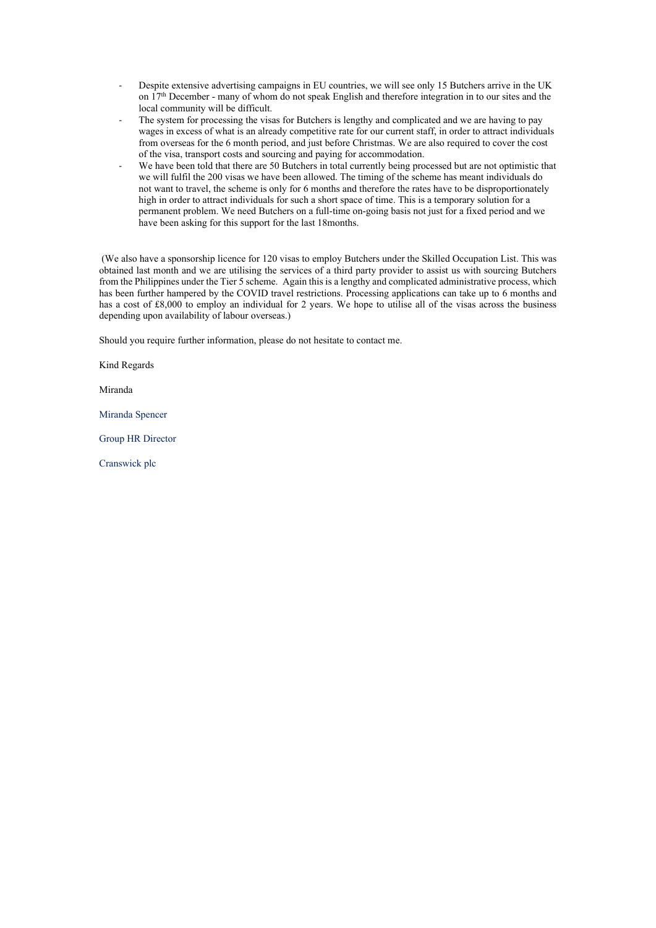- Despite extensive advertising campaigns in EU countries, we will see only 15 Butchers arrive in the UK on  $17<sup>th</sup>$  December - many of whom do not speak English and therefore integration in to our sites and the local community will be difficult.
- The system for processing the visas for Butchers is lengthy and complicated and we are having to pay wages in excess of what is an already competitive rate for our current staff, in order to attract individuals from overseas for the 6 month period, and just before Christmas. We are also required to cover the cost of the visa, transport costs and sourcing and paying for accommodation.
- We have been told that there are 50 Butchers in total currently being processed but are not optimistic that we will fulfil the 200 visas we have been allowed. The timing of the scheme has meant individuals do not want to travel, the scheme is only for 6 months and therefore the rates have to be disproportionately high in order to attract individuals for such a short space of time. This is a temporary solution for a permanent problem. We need Butchers on a full-time on-going basis not just for a fixed period and we have been asking for this support for the last 18months.

(We also have a sponsorship licence for 120 visas to employ Butchers under the Skilled Occupation List. This was obtained last month and we are utilising the services of a third party provider to assist us with sourcing Butchers from the Philippines under the Tier 5 scheme. Again this is a lengthy and complicated administrative process, which has been further hampered by the COVID travel restrictions. Processing applications can take up to 6 months and has a cost of £8,000 to employ an individual for 2 years. We hope to utilise all of the visas across the business depending upon availability of labour overseas.)

Should you require further information, please do not hesitate to contact me.

Kind Regards

Miranda

Miranda Spencer

Group HR Director

Cranswick plc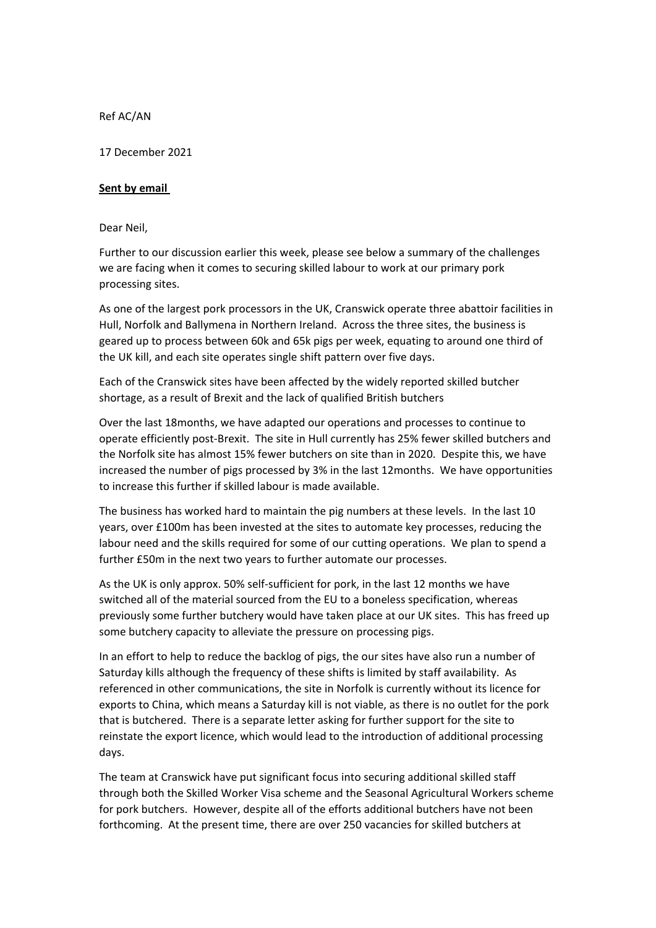Ref AC/AN

17 December 2021

#### **Sent by email**

Dear Neil,

Further to our discussion earlier this week, please see below a summary of the challenges we are facing when it comes to securing skilled labour to work at our primary pork processing sites.

As one of the largest pork processors in the UK, Cranswick operate three abattoir facilities in Hull, Norfolk and Ballymena in Northern Ireland. Across the three sites, the business is geared up to process between 60k and 65k pigs per week, equating to around one third of the UK kill, and each site operates single shift pattern over five days.

Each of the Cranswick sites have been affected by the widely reported skilled butcher shortage, as a result of Brexit and the lack of qualified British butchers

Over the last 18months, we have adapted our operations and processes to continue to operate efficiently post-Brexit. The site in Hull currently has 25% fewer skilled butchers and the Norfolk site has almost 15% fewer butchers on site than in 2020. Despite this, we have increased the number of pigs processed by 3% in the last 12months. We have opportunities to increase this further if skilled labour is made available.

The business has worked hard to maintain the pig numbers at these levels. In the last 10 years, over £100m has been invested at the sites to automate key processes, reducing the labour need and the skills required for some of our cutting operations. We plan to spend a further £50m in the next two years to further automate our processes.

As the UK is only approx. 50% self-sufficient for pork, in the last 12 months we have switched all of the material sourced from the EU to a boneless specification, whereas previously some further butchery would have taken place at our UK sites. This has freed up some butchery capacity to alleviate the pressure on processing pigs.

In an effort to help to reduce the backlog of pigs, the our sites have also run a number of Saturday kills although the frequency of these shifts is limited by staff availability. As referenced in other communications, the site in Norfolk is currently without its licence for exports to China, which means a Saturday kill is not viable, as there is no outlet for the pork that is butchered. There is a separate letter asking for further support for the site to reinstate the export licence, which would lead to the introduction of additional processing days.

The team at Cranswick have put significant focus into securing additional skilled staff through both the Skilled Worker Visa scheme and the Seasonal Agricultural Workers scheme for pork butchers. However, despite all of the efforts additional butchers have not been forthcoming. At the present time, there are over 250 vacancies for skilled butchers at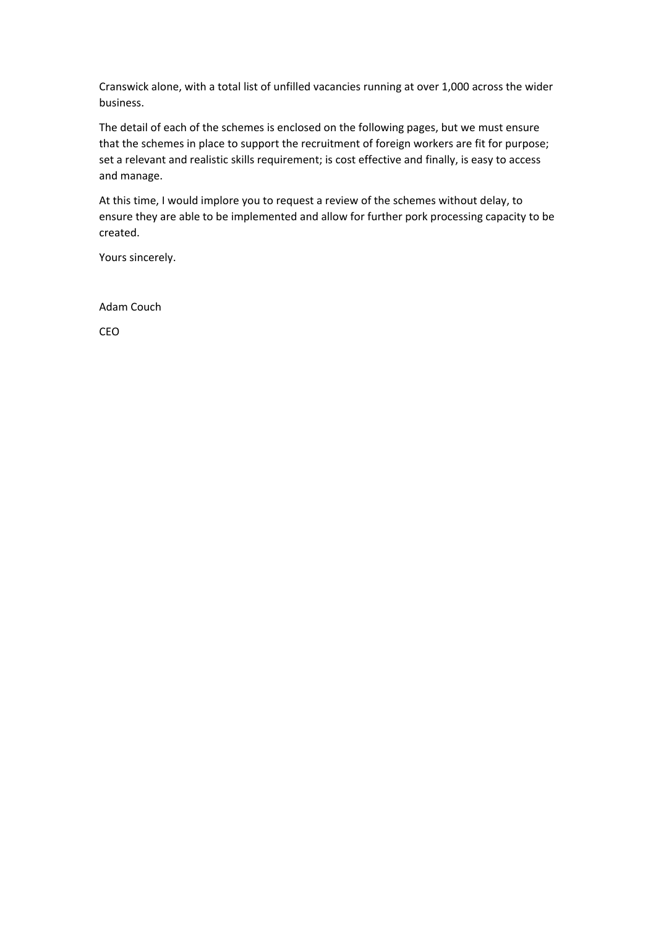Cranswick alone, with a total list of unfilled vacancies running at over 1,000 across the wider business.

The detail of each of the schemes is enclosed on the following pages, but we must ensure that the schemes in place to support the recruitment of foreign workers are fit for purpose; set a relevant and realistic skills requirement; is cost effective and finally, is easy to access and manage.

At this time, I would implore you to request a review of the schemes without delay, to ensure they are able to be implemented and allow for further pork processing capacity to be created.

Yours sincerely.

Adam Couch

CEO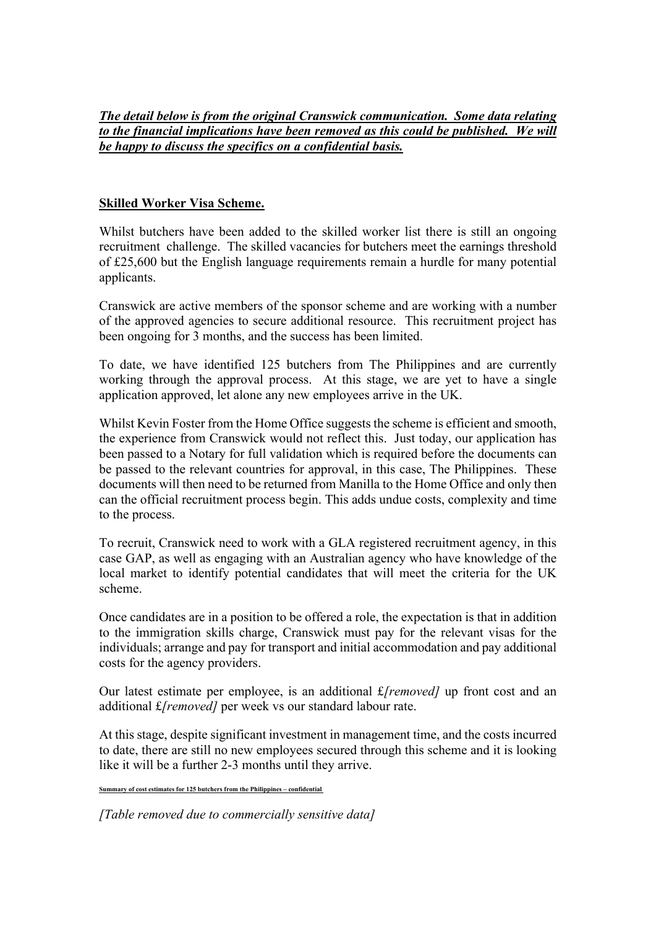*The detail below is from the original Cranswick communication. Some data relating to the financial implications have been removed as this could be published. We will be happy to discuss the specifics on a confidential basis.*

## **Skilled Worker Visa Scheme.**

Whilst butchers have been added to the skilled worker list there is still an ongoing recruitment challenge. The skilled vacancies for butchers meet the earnings threshold of £25,600 but the English language requirements remain a hurdle for many potential applicants.

Cranswick are active members of the sponsor scheme and are working with a number of the approved agencies to secure additional resource. This recruitment project has been ongoing for 3 months, and the success has been limited.

To date, we have identified 125 butchers from The Philippines and are currently working through the approval process. At this stage, we are yet to have a single application approved, let alone any new employees arrive in the UK.

Whilst Kevin Foster from the Home Office suggests the scheme is efficient and smooth, the experience from Cranswick would not reflect this. Just today, our application has been passed to a Notary for full validation which is required before the documents can be passed to the relevant countries for approval, in this case, The Philippines. These documents will then need to be returned from Manilla to the Home Office and only then can the official recruitment process begin. This adds undue costs, complexity and time to the process.

To recruit, Cranswick need to work with a GLA registered recruitment agency, in this case GAP, as well as engaging with an Australian agency who have knowledge of the local market to identify potential candidates that will meet the criteria for the UK scheme.

Once candidates are in a position to be offered a role, the expectation is that in addition to the immigration skills charge, Cranswick must pay for the relevant visas for the individuals; arrange and pay for transport and initial accommodation and pay additional costs for the agency providers.

Our latest estimate per employee, is an additional £*[removed]* up front cost and an additional £*[removed]* per week vs our standard labour rate.

At this stage, despite significant investment in management time, and the costs incurred to date, there are still no new employees secured through this scheme and it is looking like it will be a further 2-3 months until they arrive.

*[Table removed due to commercially sensitive data]*

**Summary of cost estimates for 125 butchers from the Philippines – confidential**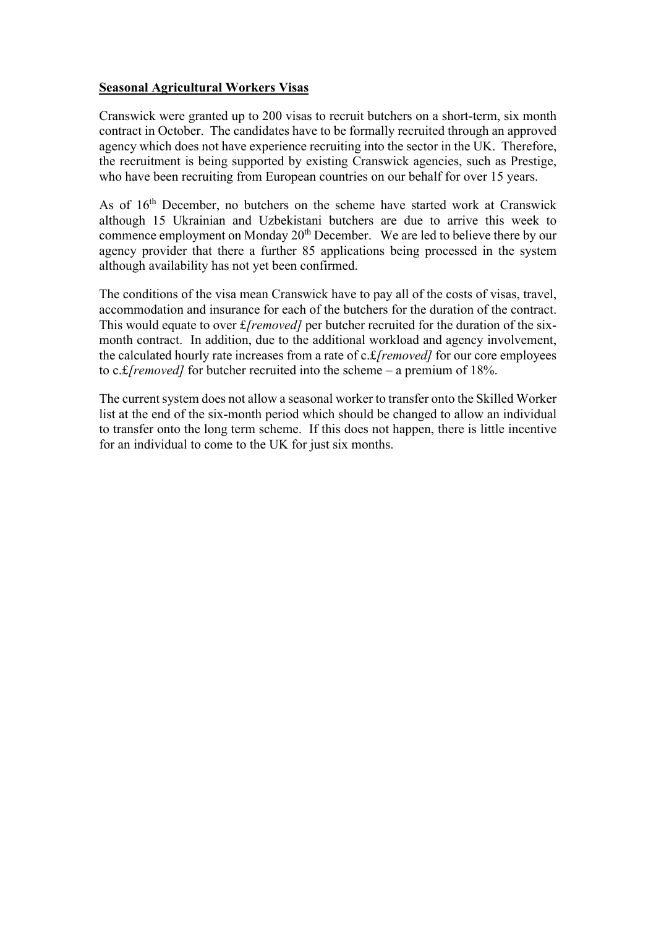## **Seasonal Agricultural Workers Visas**

Cranswick were granted up to 200 visas to recruit butchers on a short-term, six month contract in October. The candidates have to be formally recruited through an approved agency which does not have experience recruiting into the sector in the UK. Therefore, the recruitment is being supported by existing Cranswick agencies, such as Prestige, who have been recruiting from European countries on our behalf for over 15 years.

As of 16th December, no butchers on the scheme have started work at Cranswick although 15 Ukrainian and Uzbekistani butchers are due to arrive this week to commence employment on Monday 20<sup>th</sup> December. We are led to believe there by our agency provider that there a further 85 applications being processed in the system although availability has not yet been confirmed.

The conditions of the visa mean Cranswick have to pay all of the costs of visas, travel, accommodation and insurance for each of the butchers for the duration of the contract. This would equate to over £*[removed]* per butcher recruited for the duration of the sixmonth contract. In addition, due to the additional workload and agency involvement, the calculated hourly rate increases from a rate of c.£*[removed]* for our core employees to c.£*[removed]* for butcher recruited into the scheme – a premium of 18%.

The current system does not allow a seasonal worker to transfer onto the Skilled Worker list at the end of the six-month period which should be changed to allow an individual to transfer onto the long term scheme. If this does not happen, there is little incentive for an individual to come to the UK for just six months.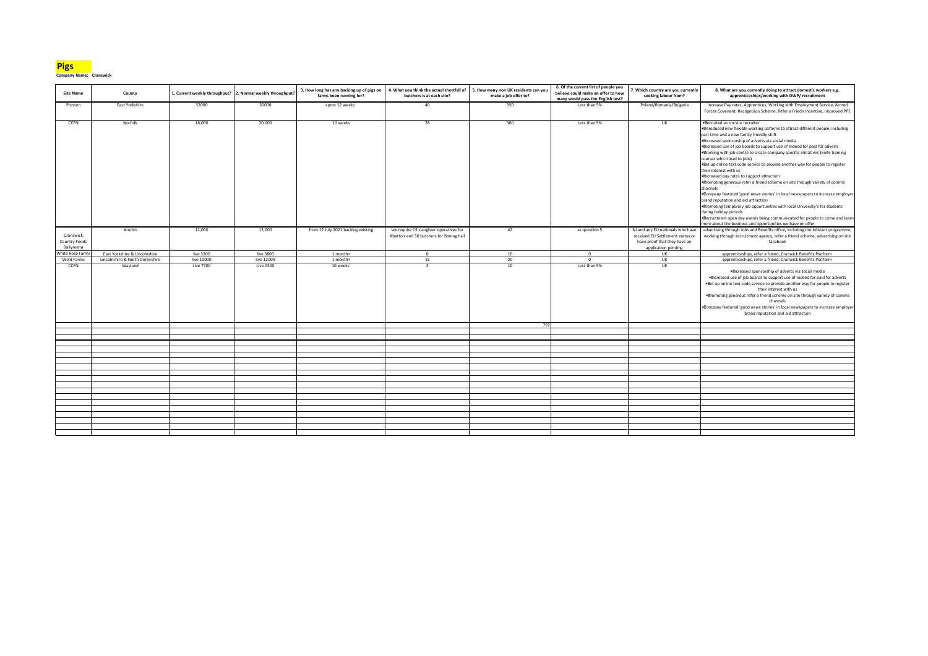

**Company Name: Cranswick**

| <b>Site Name</b>                               | County                          |                  | 1. Current weekly throughput?   2. Normal weekly throughput? | 3. How long has any backing up of pigs on<br>farms been running for? | 4. What you think the actual shortfall of<br>butchers is at each site?             | 5. How many non UK residents can you<br>make a job offer to? | 6. Of the current list of people you<br>believe could make an offer to how<br>many would pass the English test? | 7. Which country are you currently<br>seeking labour from?                                                                  | 8. What are you currently doing to attract domestic workers e.g.<br>apprenticeships/working with DWP/ recruitment                                                                                                                                                                                                                                                                                                                                                                                                                                                                                                                                                                                                                                                                                                                                                                                                                                                                                                                                                                                                     |
|------------------------------------------------|---------------------------------|------------------|--------------------------------------------------------------|----------------------------------------------------------------------|------------------------------------------------------------------------------------|--------------------------------------------------------------|-----------------------------------------------------------------------------------------------------------------|-----------------------------------------------------------------------------------------------------------------------------|-----------------------------------------------------------------------------------------------------------------------------------------------------------------------------------------------------------------------------------------------------------------------------------------------------------------------------------------------------------------------------------------------------------------------------------------------------------------------------------------------------------------------------------------------------------------------------------------------------------------------------------------------------------------------------------------------------------------------------------------------------------------------------------------------------------------------------------------------------------------------------------------------------------------------------------------------------------------------------------------------------------------------------------------------------------------------------------------------------------------------|
| Preston                                        | East Yorkshire                  | 32000            | 30000                                                        | aprox 12 weeks                                                       | 40                                                                                 | 350                                                          | Less than 5%                                                                                                    | Poland/Romania/Bulgaria                                                                                                     | Increase Pay rates, Apprentices, Working with Employment Service, Armed<br>Forces Covenant, Recogntiion Scheme, Refer a Friedn Incentive, Improved PPE                                                                                                                                                                                                                                                                                                                                                                                                                                                                                                                                                                                                                                                                                                                                                                                                                                                                                                                                                                |
| <b>CCFN</b>                                    | Norfolk                         | 18,000           | 20,000                                                       | 10 weeks                                                             | 78                                                                                 | 360                                                          | Less than 5%                                                                                                    | UK                                                                                                                          | <b>Becruited an on-site recruiter</b><br>I • Introduced new flexible working patterns to attract different people, including<br>part time and a new family friendly shift<br><b>.</b> Increased sponsorship of adverts via social media<br><b>.</b> Increased use of job boards to support use of Indeed for paid for adverts<br> ●Working with job centre to create company specific initiatives (knife training<br>courses which lead to jobs)<br><b>Set up online text code service to provide another way for people to register</b><br>their interest with us<br>• Increased pay rates to support attraction<br><b>Promoting generous refer a friend scheme on site through variety of comms</b><br>channels<br>Ompany featured 'good news stories' in local newspapers to increase employer<br>brand reputation and aid attraction<br><b>Promoting temporary job opportunities with local University's for students</b><br>during holiday periods<br><b>Example 2</b> Pecruitment open day events being communicated for people to come and learn<br>more about the business and opportunities we have on offer |
| Cranswick<br><b>Country Foods</b><br>Ballymena | Antrim                          | 12,000           | 12,000                                                       | from 12 July 2021 backlog existing                                   | we require 15 slaughter operatives for<br>Abattoir and 30 butchers for Boning hall | 47                                                           | as question 5                                                                                                   | NI and any EU nationals who have<br>received EU Settlement status or<br>have proof that they have an<br>application pending | advertising through Jobs and Benefits office, including the Jobstart programme,<br>working through recruitment agency, refer a friend scheme, advertising on site<br>facebook                                                                                                                                                                                                                                                                                                                                                                                                                                                                                                                                                                                                                                                                                                                                                                                                                                                                                                                                         |
| White Rose Farm                                | East Yorkshire & Lincolnshire   | live 3200        | live 3800                                                    | 1 month+                                                             | $\overline{0}$                                                                     | 10                                                           | $\Omega$                                                                                                        | UK                                                                                                                          | apprenticeships, refer a friend, Cranwick Benefits Platform                                                                                                                                                                                                                                                                                                                                                                                                                                                                                                                                                                                                                                                                                                                                                                                                                                                                                                                                                                                                                                                           |
| Wold Farms                                     | Lincolnshire & North Derbyshire | live 10000       | live 12000                                                   | 1 month+                                                             | 15                                                                                 | 20                                                           |                                                                                                                 | UK                                                                                                                          | apprenticeships, refer a friend, Cranwick Benefits Platform                                                                                                                                                                                                                                                                                                                                                                                                                                                                                                                                                                                                                                                                                                                                                                                                                                                                                                                                                                                                                                                           |
| <b>CCFN</b>                                    | Wayland                         | <b>Live 7700</b> | <b>Live 0500</b>                                             | 10 weeks                                                             |                                                                                    | 10                                                           | Less than 5%                                                                                                    | UK                                                                                                                          | · Increased sponsorship of adverts via social media<br>. Increased use of job boards to support use of Indeed for paid for adverts<br>. Set up online text code service to provide another way for people to register<br>their interest with us<br>. Promoting generous refer a friend scheme on site through variety of comms<br>channels<br><b>.</b> Dompany featured 'good news stories' in local newspapers to increase employer<br>brand reputation and aid attraction                                                                                                                                                                                                                                                                                                                                                                                                                                                                                                                                                                                                                                           |
|                                                |                                 |                  |                                                              |                                                                      |                                                                                    | 797                                                          |                                                                                                                 |                                                                                                                             |                                                                                                                                                                                                                                                                                                                                                                                                                                                                                                                                                                                                                                                                                                                                                                                                                                                                                                                                                                                                                                                                                                                       |
|                                                |                                 |                  |                                                              |                                                                      |                                                                                    |                                                              |                                                                                                                 |                                                                                                                             |                                                                                                                                                                                                                                                                                                                                                                                                                                                                                                                                                                                                                                                                                                                                                                                                                                                                                                                                                                                                                                                                                                                       |
|                                                |                                 |                  |                                                              |                                                                      |                                                                                    |                                                              |                                                                                                                 |                                                                                                                             |                                                                                                                                                                                                                                                                                                                                                                                                                                                                                                                                                                                                                                                                                                                                                                                                                                                                                                                                                                                                                                                                                                                       |
|                                                |                                 |                  |                                                              |                                                                      |                                                                                    |                                                              |                                                                                                                 |                                                                                                                             |                                                                                                                                                                                                                                                                                                                                                                                                                                                                                                                                                                                                                                                                                                                                                                                                                                                                                                                                                                                                                                                                                                                       |
|                                                |                                 |                  |                                                              |                                                                      |                                                                                    |                                                              |                                                                                                                 |                                                                                                                             |                                                                                                                                                                                                                                                                                                                                                                                                                                                                                                                                                                                                                                                                                                                                                                                                                                                                                                                                                                                                                                                                                                                       |
|                                                |                                 |                  |                                                              |                                                                      |                                                                                    |                                                              |                                                                                                                 |                                                                                                                             |                                                                                                                                                                                                                                                                                                                                                                                                                                                                                                                                                                                                                                                                                                                                                                                                                                                                                                                                                                                                                                                                                                                       |
|                                                |                                 |                  |                                                              |                                                                      |                                                                                    |                                                              |                                                                                                                 |                                                                                                                             |                                                                                                                                                                                                                                                                                                                                                                                                                                                                                                                                                                                                                                                                                                                                                                                                                                                                                                                                                                                                                                                                                                                       |
|                                                |                                 |                  |                                                              |                                                                      |                                                                                    |                                                              |                                                                                                                 |                                                                                                                             |                                                                                                                                                                                                                                                                                                                                                                                                                                                                                                                                                                                                                                                                                                                                                                                                                                                                                                                                                                                                                                                                                                                       |
|                                                |                                 |                  |                                                              |                                                                      |                                                                                    |                                                              |                                                                                                                 |                                                                                                                             |                                                                                                                                                                                                                                                                                                                                                                                                                                                                                                                                                                                                                                                                                                                                                                                                                                                                                                                                                                                                                                                                                                                       |
|                                                |                                 |                  |                                                              |                                                                      |                                                                                    |                                                              |                                                                                                                 |                                                                                                                             |                                                                                                                                                                                                                                                                                                                                                                                                                                                                                                                                                                                                                                                                                                                                                                                                                                                                                                                                                                                                                                                                                                                       |
|                                                |                                 |                  |                                                              |                                                                      |                                                                                    |                                                              |                                                                                                                 |                                                                                                                             |                                                                                                                                                                                                                                                                                                                                                                                                                                                                                                                                                                                                                                                                                                                                                                                                                                                                                                                                                                                                                                                                                                                       |
|                                                |                                 |                  |                                                              |                                                                      |                                                                                    |                                                              |                                                                                                                 |                                                                                                                             |                                                                                                                                                                                                                                                                                                                                                                                                                                                                                                                                                                                                                                                                                                                                                                                                                                                                                                                                                                                                                                                                                                                       |
|                                                |                                 |                  |                                                              |                                                                      |                                                                                    |                                                              |                                                                                                                 |                                                                                                                             |                                                                                                                                                                                                                                                                                                                                                                                                                                                                                                                                                                                                                                                                                                                                                                                                                                                                                                                                                                                                                                                                                                                       |
|                                                |                                 |                  |                                                              |                                                                      |                                                                                    |                                                              |                                                                                                                 |                                                                                                                             |                                                                                                                                                                                                                                                                                                                                                                                                                                                                                                                                                                                                                                                                                                                                                                                                                                                                                                                                                                                                                                                                                                                       |
|                                                |                                 |                  |                                                              |                                                                      |                                                                                    |                                                              |                                                                                                                 |                                                                                                                             |                                                                                                                                                                                                                                                                                                                                                                                                                                                                                                                                                                                                                                                                                                                                                                                                                                                                                                                                                                                                                                                                                                                       |
|                                                |                                 |                  |                                                              |                                                                      |                                                                                    |                                                              |                                                                                                                 |                                                                                                                             |                                                                                                                                                                                                                                                                                                                                                                                                                                                                                                                                                                                                                                                                                                                                                                                                                                                                                                                                                                                                                                                                                                                       |
|                                                |                                 |                  |                                                              |                                                                      |                                                                                    |                                                              |                                                                                                                 |                                                                                                                             |                                                                                                                                                                                                                                                                                                                                                                                                                                                                                                                                                                                                                                                                                                                                                                                                                                                                                                                                                                                                                                                                                                                       |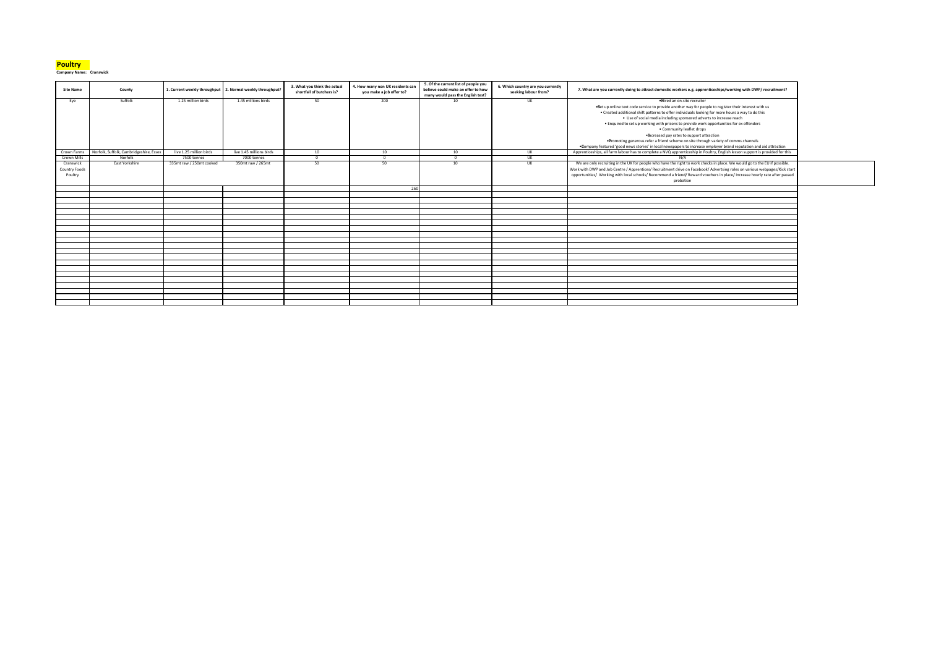## **Poultry**

**Company Name: Cranswick**

| <b>Site Name</b>                             | <b>County</b>                                                    |                                        | 1. Current weekly throughput   2. Normal weekly throughput? | 3. What you think the actual<br>shortfall of butchers is? | 4. How many non UK residents can<br>you make a job offer to? | 5. Of the current list of people you<br>believe could make an offer to how<br>many would pass the English test? | 6. Which country are you currently<br>seeking labour from? | 7. What are you currently doing to attract domestic workers e.g. apprenticeships/working with DWP/ recruitment?                                                                                                                                                                                                                                                                                     |  |
|----------------------------------------------|------------------------------------------------------------------|----------------------------------------|-------------------------------------------------------------|-----------------------------------------------------------|--------------------------------------------------------------|-----------------------------------------------------------------------------------------------------------------|------------------------------------------------------------|-----------------------------------------------------------------------------------------------------------------------------------------------------------------------------------------------------------------------------------------------------------------------------------------------------------------------------------------------------------------------------------------------------|--|
| Eye                                          | Suffolk                                                          | 1.25 million birds                     | 1.45 millions birds                                         | 50                                                        | 200                                                          | 10                                                                                                              | UK                                                         | ● Bired an on-site recruiter<br>. Set up online text code service to provide another way for people to register their interest with us                                                                                                                                                                                                                                                              |  |
|                                              |                                                                  |                                        |                                                             |                                                           |                                                              |                                                                                                                 |                                                            | • Created additional shift patterns to offer individuals looking for more hours a way to do this<br>• Use of social media including sponsored adverts to increase reach<br>• Enquired to set up working with prisons to provide work opportunities for ex offenders                                                                                                                                 |  |
|                                              |                                                                  |                                        |                                                             |                                                           |                                                              |                                                                                                                 |                                                            | • Community leaflet drops<br>• Increased pay rates to support attraction<br>• Promoting generous refer a friend scheme on site through variety of comms channels                                                                                                                                                                                                                                    |  |
|                                              |                                                                  |                                        | live 1.45 millions birds                                    |                                                           |                                                              |                                                                                                                 |                                                            | • Dompany featured 'good news stories' in local newspapers to increase employer brand reputation and aid attraction                                                                                                                                                                                                                                                                                 |  |
| Crown Mills                                  | Crown Farms   Norfolk, Suffolk, Cambridgeshire, Essex<br>Norfolk | live 1.25 million birds<br>7500 tonnes | 7000 tonnes                                                 | 10                                                        | 10                                                           | 10 <sup>°</sup>                                                                                                 | UK<br>UK                                                   | Apprenticeships, all farm labour has to complete a NVQ apprenticeship in Poultry, English lesson support is provided for this<br>N/A                                                                                                                                                                                                                                                                |  |
| Cranswick<br><b>Country Foods</b><br>Poultry | East Yorkshire                                                   | 335mt raw / 250mt cooked               | 350mt raw / 265mt                                           | 50                                                        | 50                                                           | 10                                                                                                              | UK                                                         | We are only recruiting in the UK for people who have the right to work checks in place. We would go to the EU if possible.<br>Work with DWP and Job Centre / Apprentices/ Recruitment drive on Facebook/ Advertsing roles on various webpages/Kick start<br>opportunities/ Working with local schools/ Recommend a friend/ Reward vouchers in place/ Increase hourly rate after passed<br>probation |  |
|                                              |                                                                  |                                        |                                                             |                                                           | 260                                                          |                                                                                                                 |                                                            |                                                                                                                                                                                                                                                                                                                                                                                                     |  |
|                                              |                                                                  |                                        |                                                             |                                                           |                                                              |                                                                                                                 |                                                            |                                                                                                                                                                                                                                                                                                                                                                                                     |  |
|                                              |                                                                  |                                        |                                                             |                                                           |                                                              |                                                                                                                 |                                                            |                                                                                                                                                                                                                                                                                                                                                                                                     |  |
|                                              |                                                                  |                                        |                                                             |                                                           |                                                              |                                                                                                                 |                                                            |                                                                                                                                                                                                                                                                                                                                                                                                     |  |
|                                              |                                                                  |                                        |                                                             |                                                           |                                                              |                                                                                                                 |                                                            |                                                                                                                                                                                                                                                                                                                                                                                                     |  |
|                                              |                                                                  |                                        |                                                             |                                                           |                                                              |                                                                                                                 |                                                            |                                                                                                                                                                                                                                                                                                                                                                                                     |  |
|                                              |                                                                  |                                        |                                                             |                                                           |                                                              |                                                                                                                 |                                                            |                                                                                                                                                                                                                                                                                                                                                                                                     |  |
|                                              |                                                                  |                                        |                                                             |                                                           |                                                              |                                                                                                                 |                                                            |                                                                                                                                                                                                                                                                                                                                                                                                     |  |
|                                              |                                                                  |                                        |                                                             |                                                           |                                                              |                                                                                                                 |                                                            |                                                                                                                                                                                                                                                                                                                                                                                                     |  |
|                                              |                                                                  |                                        |                                                             |                                                           |                                                              |                                                                                                                 |                                                            |                                                                                                                                                                                                                                                                                                                                                                                                     |  |
|                                              |                                                                  |                                        |                                                             |                                                           |                                                              |                                                                                                                 |                                                            |                                                                                                                                                                                                                                                                                                                                                                                                     |  |
|                                              |                                                                  |                                        |                                                             |                                                           |                                                              |                                                                                                                 |                                                            |                                                                                                                                                                                                                                                                                                                                                                                                     |  |
|                                              |                                                                  |                                        |                                                             |                                                           |                                                              |                                                                                                                 |                                                            |                                                                                                                                                                                                                                                                                                                                                                                                     |  |
|                                              |                                                                  |                                        |                                                             |                                                           |                                                              |                                                                                                                 |                                                            |                                                                                                                                                                                                                                                                                                                                                                                                     |  |
|                                              |                                                                  |                                        |                                                             |                                                           |                                                              |                                                                                                                 |                                                            |                                                                                                                                                                                                                                                                                                                                                                                                     |  |
|                                              |                                                                  |                                        |                                                             |                                                           |                                                              |                                                                                                                 |                                                            |                                                                                                                                                                                                                                                                                                                                                                                                     |  |
|                                              |                                                                  |                                        |                                                             |                                                           |                                                              |                                                                                                                 |                                                            |                                                                                                                                                                                                                                                                                                                                                                                                     |  |
|                                              |                                                                  |                                        |                                                             |                                                           |                                                              |                                                                                                                 |                                                            |                                                                                                                                                                                                                                                                                                                                                                                                     |  |
|                                              |                                                                  |                                        |                                                             |                                                           |                                                              |                                                                                                                 |                                                            |                                                                                                                                                                                                                                                                                                                                                                                                     |  |